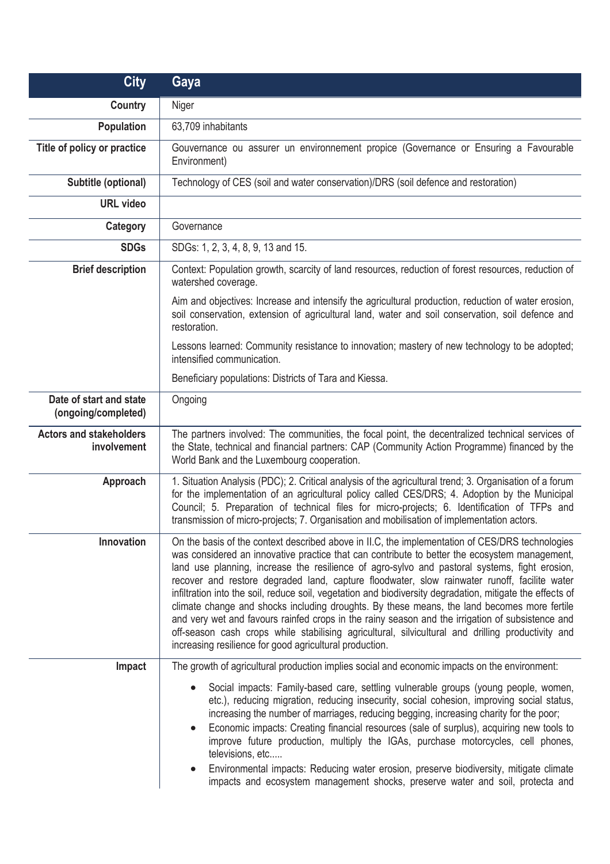| <b>City</b>                                          | Gaya                                                                                                                                                                                                                                                                                                                                                                                                                                                                                                                                                                                                                                                                                                                                                                                                                                                                              |
|------------------------------------------------------|-----------------------------------------------------------------------------------------------------------------------------------------------------------------------------------------------------------------------------------------------------------------------------------------------------------------------------------------------------------------------------------------------------------------------------------------------------------------------------------------------------------------------------------------------------------------------------------------------------------------------------------------------------------------------------------------------------------------------------------------------------------------------------------------------------------------------------------------------------------------------------------|
| Country                                              | Niger                                                                                                                                                                                                                                                                                                                                                                                                                                                                                                                                                                                                                                                                                                                                                                                                                                                                             |
| <b>Population</b>                                    | 63,709 inhabitants                                                                                                                                                                                                                                                                                                                                                                                                                                                                                                                                                                                                                                                                                                                                                                                                                                                                |
| Title of policy or practice                          | Gouvernance ou assurer un environnement propice (Governance or Ensuring a Favourable<br>Environment)                                                                                                                                                                                                                                                                                                                                                                                                                                                                                                                                                                                                                                                                                                                                                                              |
| Subtitle (optional)                                  | Technology of CES (soil and water conservation)/DRS (soil defence and restoration)                                                                                                                                                                                                                                                                                                                                                                                                                                                                                                                                                                                                                                                                                                                                                                                                |
| <b>URL</b> video                                     |                                                                                                                                                                                                                                                                                                                                                                                                                                                                                                                                                                                                                                                                                                                                                                                                                                                                                   |
| Category                                             | Governance                                                                                                                                                                                                                                                                                                                                                                                                                                                                                                                                                                                                                                                                                                                                                                                                                                                                        |
| <b>SDGs</b>                                          | SDGs: 1, 2, 3, 4, 8, 9, 13 and 15.                                                                                                                                                                                                                                                                                                                                                                                                                                                                                                                                                                                                                                                                                                                                                                                                                                                |
| <b>Brief description</b>                             | Context: Population growth, scarcity of land resources, reduction of forest resources, reduction of<br>watershed coverage.                                                                                                                                                                                                                                                                                                                                                                                                                                                                                                                                                                                                                                                                                                                                                        |
|                                                      | Aim and objectives: Increase and intensify the agricultural production, reduction of water erosion,<br>soil conservation, extension of agricultural land, water and soil conservation, soil defence and<br>restoration.                                                                                                                                                                                                                                                                                                                                                                                                                                                                                                                                                                                                                                                           |
|                                                      | Lessons learned: Community resistance to innovation; mastery of new technology to be adopted;<br>intensified communication.                                                                                                                                                                                                                                                                                                                                                                                                                                                                                                                                                                                                                                                                                                                                                       |
|                                                      | Beneficiary populations: Districts of Tara and Kiessa.                                                                                                                                                                                                                                                                                                                                                                                                                                                                                                                                                                                                                                                                                                                                                                                                                            |
| Date of start and state<br>(ongoing/completed)       | Ongoing                                                                                                                                                                                                                                                                                                                                                                                                                                                                                                                                                                                                                                                                                                                                                                                                                                                                           |
| <b>Actors and stakeholders</b><br><i>involvement</i> | The partners involved: The communities, the focal point, the decentralized technical services of<br>the State, technical and financial partners: CAP (Community Action Programme) financed by the<br>World Bank and the Luxembourg cooperation.                                                                                                                                                                                                                                                                                                                                                                                                                                                                                                                                                                                                                                   |
| Approach                                             | 1. Situation Analysis (PDC); 2. Critical analysis of the agricultural trend; 3. Organisation of a forum<br>for the implementation of an agricultural policy called CES/DRS; 4. Adoption by the Municipal<br>Council; 5. Preparation of technical files for micro-projects; 6. Identification of TFPs and<br>transmission of micro-projects; 7. Organisation and mobilisation of implementation actors.                                                                                                                                                                                                                                                                                                                                                                                                                                                                            |
| Innovation                                           | On the basis of the context described above in II.C, the implementation of CES/DRS technologies<br>was considered an innovative practice that can contribute to better the ecosystem management,<br>land use planning, increase the resilience of agro-sylvo and pastoral systems, fight erosion,<br>recover and restore degraded land, capture floodwater, slow rainwater runoff, facilite water<br>infiltration into the soil, reduce soil, vegetation and biodiversity degradation, mitigate the effects of<br>climate change and shocks including droughts. By these means, the land becomes more fertile<br>and very wet and favours rainfed crops in the rainy season and the irrigation of subsistence and<br>off-season cash crops while stabilising agricultural, silvicultural and drilling productivity and<br>increasing resilience for good agricultural production. |
| Impact                                               | The growth of agricultural production implies social and economic impacts on the environment:                                                                                                                                                                                                                                                                                                                                                                                                                                                                                                                                                                                                                                                                                                                                                                                     |
|                                                      | Social impacts: Family-based care, settling vulnerable groups (young people, women,<br>etc.), reducing migration, reducing insecurity, social cohesion, improving social status,<br>increasing the number of marriages, reducing begging, increasing charity for the poor;<br>Economic impacts: Creating financial resources (sale of surplus), acquiring new tools to<br>$\bullet$<br>improve future production, multiply the IGAs, purchase motorcycles, cell phones,<br>televisions, etc<br>Environmental impacts: Reducing water erosion, preserve biodiversity, mitigate climate<br>impacts and ecosystem management shocks, preserve water and soil, protecta and                                                                                                                                                                                                           |